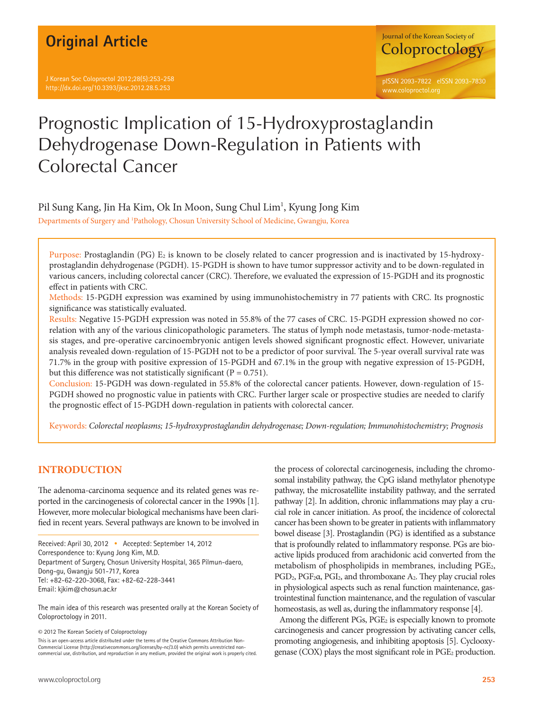## **Original Article**

J Korean Soc Coloproctol 2012;28(5):253-258 http://dx.doi.org/10.3393/jksc.2012.28.5.253



# Prognostic Implication of 15-Hydroxyprostaglandin Dehydrogenase Down-Regulation in Patients with Colorectal Cancer

## Pil Sung Kang, Jin Ha Kim, Ok In Moon, Sung Chul Lim<sup>1</sup>, Kyung Jong Kim

Departments of Surgery and 1 Pathology, Chosun University School of Medicine, Gwangju, Korea

Purpose: Prostaglandin (PG)  $E_2$  is known to be closely related to cancer progression and is inactivated by 15-hydroxyprostaglandin dehydrogenase (PGDH). 15-PGDH is shown to have tumor suppressor activity and to be down-regulated in various cancers, including colorectal cancer (CRC). Therefore, we evaluated the expression of 15-PGDH and its prognostic effect in patients with CRC.

Methods: 15-PGDH expression was examined by using immunohistochemistry in 77 patients with CRC. Its prognostic significance was statistically evaluated.

Results: Negative 15-PGDH expression was noted in 55.8% of the 77 cases of CRC. 15-PGDH expression showed no correlation with any of the various clinicopathologic parameters. The status of lymph node metastasis, tumor-node-metastasis stages, and pre-operative carcinoembryonic antigen levels showed significant prognostic effect. However, univariate analysis revealed down-regulation of 15-PGDH not to be a predictor of poor survival. The 5-year overall survival rate was 71.7% in the group with positive expression of 15-PGDH and 67.1% in the group with negative expression of 15-PGDH, but this difference was not statistically significant ( $P = 0.751$ ).

Conclusion: 15-PGDH was down-regulated in 55.8% of the colorectal cancer patients. However, down-regulation of 15- PGDH showed no prognostic value in patients with CRC. Further larger scale or prospective studies are needed to clarify the prognostic effect of 15-PGDH down-regulation in patients with colorectal cancer.

Keywords: *Colorectal neoplasms; 15-hydroxyprostaglandin dehydrogenase; Down-regulation; Immunohistochemistry; Prognosis*

## **INTRODUCTION**

The adenoma-carcinoma sequence and its related genes was reported in the carcinogenesis of colorectal cancer in the 1990s [1]. However, more molecular biological mechanisms have been clarified in recent years. Several pathways are known to be involved in

The main idea of this research was presented orally at the Korean Society of Coloproctology in 2011.

© 2012 The Korean Society of Coloproctology

This is an open-access article distributed under the terms of the Creative Commons Attribution Non-Commercial License (http://creativecommons.org/licenses/by-nc/3.0) which permits unrestricted noncommercial use, distribution, and reproduction in any medium, provided the original work is properly cited.

the process of colorectal carcinogenesis, including the chromosomal instability pathway, the CpG island methylator phenotype pathway, the microsatellite instability pathway, and the serrated pathway [2]. In addition, chronic inflammations may play a crucial role in cancer initiation. As proof, the incidence of colorectal cancer has been shown to be greater in patients with inflammatory bowel disease [3]. Prostaglandin (PG) is identified as a substance that is profoundly related to inflammatory response. PGs are bioactive lipids produced from arachidonic acid converted from the metabolism of phospholipids in membranes, including PGE<sub>2</sub>, PGD<sub>2</sub>, PGF<sub>2</sub>α, PGI<sub>2</sub>, and thromboxane A<sub>2</sub>. They play crucial roles in physiological aspects such as renal function maintenance, gastrointestinal function maintenance, and the regulation of vascular homeostasis, as well as, during the inflammatory response [4].

Among the different PGs, PGE<sub>2</sub> is especially known to promote carcinogenesis and cancer progression by activating cancer cells, promoting angiogenesis, and inhibiting apoptosis [5]. Cyclooxygenase (COX) plays the most significant role in  $PGE_2$  production.

Received: April 30, 2012 • Accepted: September 14, 2012 Correspondence to: Kyung Jong Kim, M.D. Department of Surgery, Chosun University Hospital, 365 Pilmun-daero, Dong-gu, Gwangju 501-717, Korea Tel: +82-62-220-3068, Fax: +82-62-228-3441 Email: kjkim@chosun.ac.kr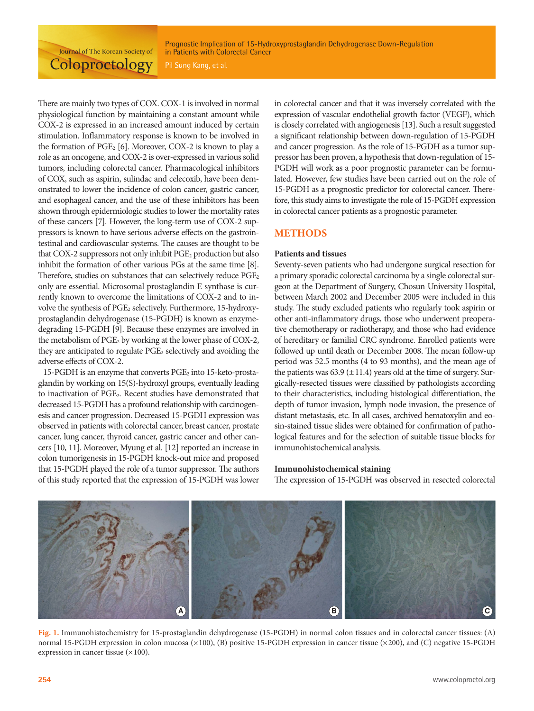Prognostic Implication of 15-Hydroxyprostaglandin Dehydrogenase Down-Regulation in Patients with Colorectal Cancer

There are mainly two types of COX. COX-1 is involved in normal physiological function by maintaining a constant amount while COX-2 is expressed in an increased amount induced by certain stimulation. Inflammatory response is known to be involved in the formation of  $PGE_2$  [6]. Moreover, COX-2 is known to play a role as an oncogene, and COX-2 is over-expressed in various solid tumors, including colorectal cancer. Pharmacological inhibitors of COX, such as aspirin, sulindac and celecoxib, have been demonstrated to lower the incidence of colon cancer, gastric cancer, and esophageal cancer, and the use of these inhibitors has been shown through epidermiologic studies to lower the mortality rates of these cancers [7]. However, the long-term use of COX-2 suppressors is known to have serious adverse effects on the gastrointestinal and cardiovascular systems. The causes are thought to be that COX-2 suppressors not only inhibit PGE<sub>2</sub> production but also inhibit the formation of other various PGs at the same time [8]. Therefore, studies on substances that can selectively reduce PGE<sub>2</sub> only are essential. Microsomal prostaglandin E synthase is currently known to overcome the limitations of COX-2 and to involve the synthesis of PGE<sub>2</sub> selectively. Furthermore, 15-hydroxyprostaglandin dehydrogenase (15-PGDH) is known as enzymedegrading 15-PGDH [9]. Because these enzymes are involved in the metabolism of PGE<sub>2</sub> by working at the lower phase of COX-2, they are anticipated to regulate PGE<sub>2</sub> selectively and avoiding the adverse effects of COX-2.

15-PGDH is an enzyme that converts PGE<sub>2</sub> into 15-keto-prostaglandin by working on 15(S)-hydroxyl groups, eventually leading to inactivation of PGE2. Recent studies have demonstrated that decreased 15-PGDH has a profound relationship with carcinogenesis and cancer progression. Decreased 15-PGDH expression was observed in patients with colorectal cancer, breast cancer, prostate cancer, lung cancer, thyroid cancer, gastric cancer and other cancers [10, 11]. Moreover, Myung et al. [12] reported an increase in colon tumorigenesis in 15-PGDH knock-out mice and proposed that 15-PGDH played the role of a tumor suppressor. The authors of this study reported that the expression of 15-PGDH was lower

in colorectal cancer and that it was inversely correlated with the expression of vascular endothelial growth factor (VEGF), which is closely correlated with angiogenesis [13]. Such a result suggested a significant relationship between down-regulation of 15-PGDH and cancer progression. As the role of 15-PGDH as a tumor suppressor has been proven, a hypothesis that down-regulation of 15- PGDH will work as a poor prognostic parameter can be formulated. However, few studies have been carried out on the role of 15-PGDH as a prognostic predictor for colorectal cancer. Therefore, this study aims to investigate the role of 15-PGDH expression in colorectal cancer patients as a prognostic parameter.

### **METHODS**

#### **Patients and tissues**

Seventy-seven patients who had undergone surgical resection for a primary sporadic colorectal carcinoma by a single colorectal surgeon at the Department of Surgery, Chosun University Hospital, between March 2002 and December 2005 were included in this study. The study excluded patients who regularly took aspirin or other anti-inflammatory drugs, those who underwent preoperative chemotherapy or radiotherapy, and those who had evidence of hereditary or familial CRC syndrome. Enrolled patients were followed up until death or December 2008. The mean follow-up period was 52.5 months (4 to 93 months), and the mean age of the patients was  $63.9 \pm 11.4$ ) years old at the time of surgery. Surgically-resected tissues were classified by pathologists according to their characteristics, including histological differentiation, the depth of tumor invasion, lymph node invasion, the presence of distant metastasis, etc. In all cases, archived hematoxylin and eosin-stained tissue slides were obtained for confirmation of pathological features and for the selection of suitable tissue blocks for immunohistochemical analysis.

#### **Immunohistochemical staining**

The expression of 15-PGDH was observed in resected colorectal



**Fig. 1.** Immunohistochemistry for 15-prostaglandin dehydrogenase (15-PGDH) in normal colon tissues and in colorectal cancer tissues: (A) normal 15-PGDH expression in colon mucosa (×100), (B) positive 15-PGDH expression in cancer tissue (×200), and (C) negative 15-PGDH expression in cancer tissue  $(\times 100)$ .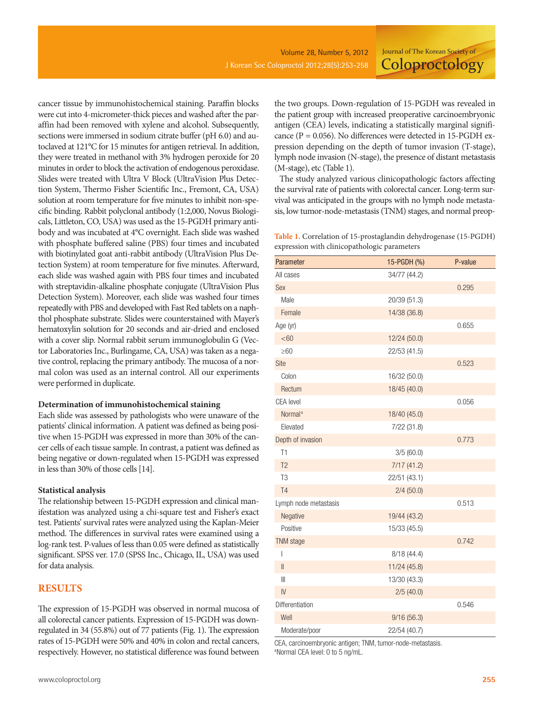cancer tissue by immunohistochemical staining. Paraffin blocks were cut into 4-micrometer-thick pieces and washed after the paraffin had been removed with xylene and alcohol. Subsequently, sections were immersed in sodium citrate buffer (pH 6.0) and autoclaved at 121°C for 15 minutes for antigen retrieval. In addition, they were treated in methanol with 3% hydrogen peroxide for 20 minutes in order to block the activation of endogenous peroxidase. Slides were treated with Ultra V Block (UltraVision Plus Detection System, Thermo Fisher Scientific Inc., Fremont, CA, USA) solution at room temperature for five minutes to inhibit non-specific binding. Rabbit polyclonal antibody (1:2,000, Novus Biologicals, Littleton, CO, USA) was used as the 15-PGDH primary antibody and was incubated at 4°C overnight. Each slide was washed with phosphate buffered saline (PBS) four times and incubated with biotinylated goat anti-rabbit antibody (UltraVision Plus Detection System) at room temperature for five minutes. Afterward, each slide was washed again with PBS four times and incubated with streptavidin-alkaline phosphate conjugate (UltraVision Plus Detection System). Moreover, each slide was washed four times repeatedly with PBS and developed with Fast Red tablets on a naphthol phosphate substrate. Slides were counterstained with Mayer's hematoxylin solution for 20 seconds and air-dried and enclosed with a cover slip. Normal rabbit serum immunoglobulin G (Vector Laboratories Inc., Burlingame, CA, USA) was taken as a negative control, replacing the primary antibody. The mucosa of a normal colon was used as an internal control. All our experiments were performed in duplicate.

#### **Determination of immunohistochemical staining**

Each slide was assessed by pathologists who were unaware of the patients' clinical information. A patient was defined as being positive when 15-PGDH was expressed in more than 30% of the cancer cells of each tissue sample. In contrast, a patient was defined as being negative or down-regulated when 15-PGDH was expressed in less than 30% of those cells [14].

#### **Statistical analysis**

The relationship between 15-PGDH expression and clinical manifestation was analyzed using a chi-square test and Fisher's exact test. Patients' survival rates were analyzed using the Kaplan-Meier method. The differences in survival rates were examined using a log-rank test. P-values of less than 0.05 were defined as statistically significant. SPSS ver. 17.0 (SPSS Inc., Chicago, IL, USA) was used for data analysis.

## **RESULTS**

The expression of 15-PGDH was observed in normal mucosa of all colorectal cancer patients. Expression of 15-PGDH was downregulated in 34 (55.8%) out of 77 patients (Fig. 1). The expression rates of 15-PGDH were 50% and 40% in colon and rectal cancers, respectively. However, no statistical difference was found between

the two groups. Down-regulation of 15-PGDH was revealed in the patient group with increased preoperative carcinoembryonic antigen (CEA) levels, indicating a statistically marginal significance (P = 0.056). No differences were detected in 15-PGDH expression depending on the depth of tumor invasion (T-stage), lymph node invasion (N-stage), the presence of distant metastasis (M-stage), etc (Table 1).

The study analyzed various clinicopathologic factors affecting the survival rate of patients with colorectal cancer. Long-term survival was anticipated in the groups with no lymph node metastasis, low tumor-node-metastasis (TNM) stages, and normal preop-

**Table 1.** Correlation of 15-prostaglandin dehydrogenase (15-PGDH) expression with clinicopathologic parameters

| Parameter             | 15-PGDH (%)  | P-value |
|-----------------------|--------------|---------|
| All cases             | 34/77 (44.2) |         |
| Sex                   |              | 0.295   |
| Male                  | 20/39 (51.3) |         |
| Female                | 14/38 (36.8) |         |
| Age (yr)              |              | 0.655   |
| <60                   | 12/24 (50.0) |         |
| $\geq 60$             | 22/53 (41.5) |         |
| Site                  |              | 0.523   |
| Colon                 | 16/32 (50.0) |         |
| Rectum                | 18/45 (40.0) |         |
| <b>CEA</b> level      |              | 0.056   |
| Normal <sup>a</sup>   | 18/40 (45.0) |         |
| Elevated              | 7/22(31.8)   |         |
| Depth of invasion     |              | 0.773   |
| T1                    | 3/5(60.0)    |         |
| T <sub>2</sub>        | 7/17(41.2)   |         |
| T <sub>3</sub>        | 22/51 (43.1) |         |
| <b>T4</b>             | 2/4(50.0)    |         |
| Lymph node metastasis |              | 0.513   |
| Negative              | 19/44 (43.2) |         |
| Positive              | 15/33 (45.5) |         |
| TNM stage             |              | 0.742   |
| I                     | 8/18 (44.4)  |         |
| $\parallel$           | 11/24 (45.8) |         |
| $\parallel$           | 13/30 (43.3) |         |
| $\overline{N}$        | 2/5(40.0)    |         |
| Differentiation       |              | 0.546   |
| Well                  | 9/16(56.3)   |         |
| Moderate/poor         | 22/54 (40.7) |         |

CEA, carcinoembryonic antigen; TNM, tumor-node-metastasis. a Normal CEA level: 0 to 5 ng/mL.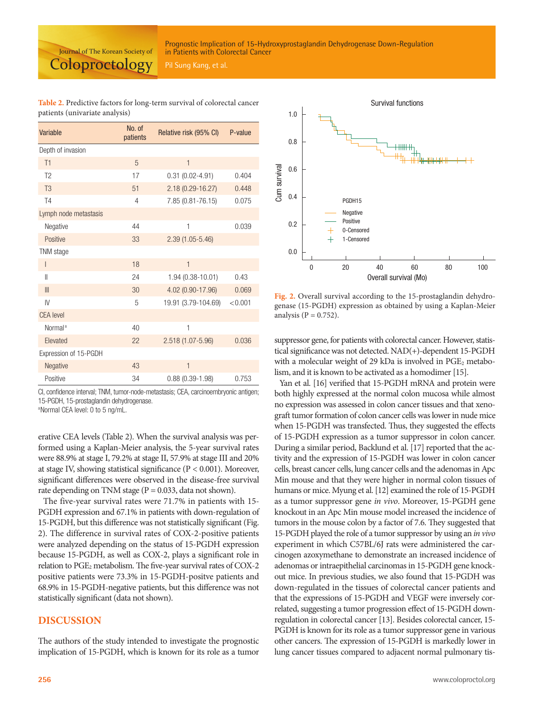#### Prognostic Implication of 15-Hydroxyprostaglandin Dehydrogenase Down-Regulation in Patients with Colorectal Cancer

Journal of The Korean Society of **Coloproctology** 

**Table 2.** Predictive factors for long-term survival of colorectal cancer patients (univariate analysis)

| Variable              | No. of<br>patients | Relative risk (95% CI) | P-value |
|-----------------------|--------------------|------------------------|---------|
| Depth of invasion     |                    |                        |         |
| T1                    | 5                  | $\mathbf{1}$           |         |
| T <sub>2</sub>        | 17                 | $0.31(0.02 - 4.91)$    | 0.404   |
| T <sub>3</sub>        | 51                 | $2.18(0.29 - 16.27)$   | 0.448   |
| T <sub>4</sub>        | 4                  | 7.85 (0.81-76.15)      | 0.075   |
| Lymph node metastasis |                    |                        |         |
| Negative              | 44                 | 1                      | 0.039   |
| Positive              | 33                 | $2.39(1.05-5.46)$      |         |
| TNM stage             |                    |                        |         |
| $\mathsf{I}$          | 18                 | $\mathbf{1}$           |         |
| $\mathsf{II}$         | 24                 | 1.94 (0.38-10.01)      | 0.43    |
| III                   | 30                 | 4.02 (0.90-17.96)      | 0.069   |
| IV                    | 5                  | 19.91 (3.79-104.69)    | < 0.001 |
| <b>CEA</b> level      |                    |                        |         |
| Normal <sup>a</sup>   | 40                 | 1                      |         |
| Elevated              | 22                 | 2.518 (1.07-5.96)      | 0.036   |
| Expression of 15-PGDH |                    |                        |         |
| Negative              | 43                 | $\mathbf{1}$           |         |
| Positive              | 34                 | $0.88(0.39-1.98)$      | 0.753   |

CI, confidence interval; TNM, tumor-node-metastasis; CEA, carcinoembryonic antigen; 15-PGDH, 15-prostaglandin dehydrogenase.

aNormal CEA level: 0 to 5 ng/mL.

erative CEA levels (Table 2). When the survival analysis was performed using a Kaplan-Meier analysis, the 5-year survival rates were 88.9% at stage I, 79.2% at stage II, 57.9% at stage III and 20% at stage IV, showing statistical significance (P < 0.001). Moreover, significant differences were observed in the disease-free survival rate depending on TNM stage ( $P = 0.033$ , data not shown).

The five-year survival rates were 71.7% in patients with 15- PGDH expression and 67.1% in patients with down-regulation of 15-PGDH, but this difference was not statistically significant (Fig. 2). The difference in survival rates of COX-2-positive patients were analyzed depending on the status of 15-PGDH expression because 15-PGDH, as well as COX-2, plays a significant role in relation to  $PGE_2$  metabolism. The five-year survival rates of  $COX-2$ positive patients were 73.3% in 15-PGDH-positve patients and 68.9% in 15-PGDH-negative patients, but this difference was not statistically significant (data not shown).

## **DISCUSSION**

The authors of the study intended to investigate the prognostic implication of 15-PGDH, which is known for its role as a tumor



**Fig. 2.** Overall survival according to the 15-prostaglandin dehydrogenase (15-PGDH) expression as obtained by using a Kaplan-Meier

suppressor gene, for patients with colorectal cancer. However, statistical significance was not detected. NAD(+)-dependent 15-PGDH with a molecular weight of 29 kDa is involved in PGE<sub>2</sub> metabolism, and it is known to be activated as a homodimer [15].

Yan et al. [16] verified that 15-PGDH mRNA and protein were both highly expressed at the normal colon mucosa while almost no expression was assessed in colon cancer tissues and that xenograft tumor formation of colon cancer cells was lower in nude mice when 15-PGDH was transfected. Thus, they suggested the effects of 15-PGDH expression as a tumor suppressor in colon cancer. During a similar period, Backlund et al. [17] reported that the activity and the expression of 15-PGDH was lower in colon cancer cells, breast cancer cells, lung cancer cells and the adenomas in Apc Min mouse and that they were higher in normal colon tissues of humans or mice. Myung et al. [12] examined the role of 15-PGDH as a tumor suppressor gene *in vivo*. Moreover, 15-PGDH gene knockout in an Apc Min mouse model increased the incidence of tumors in the mouse colon by a factor of 7.6. They suggested that 15-PGDH played the role of a tumor suppressor by using an *in vivo* experiment in which C57BL/6J rats were administered the carcinogen azoxymethane to demonstrate an increased incidence of adenomas or intraepithelial carcinomas in 15-PGDH gene knockout mice. In previous studies, we also found that 15-PGDH was down-regulated in the tissues of colorectal cancer patients and that the expressions of 15-PGDH and VEGF were inversely correlated, suggesting a tumor progression effect of 15-PGDH downregulation in colorectal cancer [13]. Besides colorectal cancer, 15- PGDH is known for its role as a tumor suppressor gene in various other cancers. The expression of 15-PGDH is markedly lower in lung cancer tissues compared to adjacent normal pulmonary tis-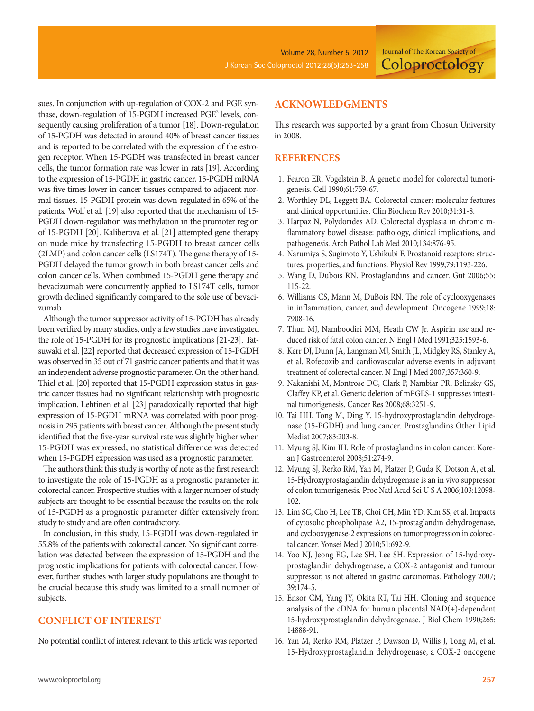sues. In conjunction with up-regulation of COX-2 and PGE synthase, down-regulation of 15-PGDH increased PGE<sup>2</sup> levels, consequently causing proliferation of a tumor [18]. Down-regulation of 15-PGDH was detected in around 40% of breast cancer tissues and is reported to be correlated with the expression of the estrogen receptor. When 15-PGDH was transfected in breast cancer cells, the tumor formation rate was lower in rats [19]. According to the expression of 15-PGDH in gastric cancer, 15-PGDH mRNA was five times lower in cancer tissues compared to adjacent normal tissues. 15-PGDH protein was down-regulated in 65% of the patients. Wolf et al. [19] also reported that the mechanism of 15- PGDH down-regulation was methylation in the promoter region of 15-PGDH [20]. Kaliberova et al. [21] attempted gene therapy on nude mice by transfecting 15-PGDH to breast cancer cells (2LMP) and colon cancer cells (LS174T). The gene therapy of 15- PGDH delayed the tumor growth in both breast cancer cells and colon cancer cells. When combined 15-PGDH gene therapy and bevacizumab were concurrently applied to LS174T cells, tumor growth declined significantly compared to the sole use of bevacizumab.

Although the tumor suppressor activity of 15-PGDH has already been verified by many studies, only a few studies have investigated the role of 15-PGDH for its prognostic implications [21-23]. Tatsuwaki et al. [22] reported that decreased expression of 15-PGDH was observed in 35 out of 71 gastric cancer patients and that it was an independent adverse prognostic parameter. On the other hand, Thiel et al. [20] reported that 15-PGDH expression status in gastric cancer tissues had no significant relationship with prognostic implication. Lehtinen et al. [23] paradoxically reported that high expression of 15-PGDH mRNA was correlated with poor prognosis in 295 patients with breast cancer. Although the present study identified that the five-year survival rate was slightly higher when 15-PGDH was expressed, no statistical difference was detected when 15-PGDH expression was used as a prognostic parameter.

The authors think this study is worthy of note as the first research to investigate the role of 15-PGDH as a prognostic parameter in colorectal cancer. Prospective studies with a larger number of study subjects are thought to be essential because the results on the role of 15-PGDH as a prognostic parameter differ extensively from study to study and are often contradictory.

In conclusion, in this study, 15-PGDH was down-regulated in 55.8% of the patients with colorectal cancer. No significant correlation was detected between the expression of 15-PGDH and the prognostic implications for patients with colorectal cancer. However, further studies with larger study populations are thought to be crucial because this study was limited to a small number of subjects.

## **CONFLICT OF INTEREST**

No potential conflict of interest relevant to this article was reported.

## **ACKNOWLEDGMENTS**

This research was supported by a grant from Chosun University in 2008.

## **REFERENCES**

- 1. Fearon ER, Vogelstein B. A genetic model for colorectal tumorigenesis. Cell 1990;61:759-67.
- 2. Worthley DL, Leggett BA. Colorectal cancer: molecular features and clinical opportunities. Clin Biochem Rev 2010;31:31-8.
- 3. Harpaz N, Polydorides AD. Colorectal dysplasia in chronic inflammatory bowel disease: pathology, clinical implications, and pathogenesis. Arch Pathol Lab Med 2010;134:876-95.
- 4. Narumiya S, Sugimoto Y, Ushikubi F. Prostanoid receptors: structures, properties, and functions. Physiol Rev 1999;79:1193-226.
- 5. Wang D, Dubois RN. Prostaglandins and cancer. Gut 2006;55: 115-22.
- 6. Williams CS, Mann M, DuBois RN. The role of cyclooxygenases in inflammation, cancer, and development. Oncogene 1999;18: 7908-16.
- 7. Thun MJ, Namboodiri MM, Heath CW Jr. Aspirin use and reduced risk of fatal colon cancer. N Engl J Med 1991;325:1593-6.
- 8. Kerr DJ, Dunn JA, Langman MJ, Smith JL, Midgley RS, Stanley A, et al. Rofecoxib and cardiovascular adverse events in adjuvant treatment of colorectal cancer. N Engl J Med 2007;357:360-9.
- 9. Nakanishi M, Montrose DC, Clark P, Nambiar PR, Belinsky GS, Claffey KP, et al. Genetic deletion of mPGES-1 suppresses intestinal tumorigenesis. Cancer Res 2008;68:3251-9.
- 10. Tai HH, Tong M, Ding Y. 15-hydroxyprostaglandin dehydrogenase (15-PGDH) and lung cancer. Prostaglandins Other Lipid Mediat 2007;83:203-8.
- 11. Myung SJ, Kim IH. Role of prostaglandins in colon cancer. Korean J Gastroenterol 2008;51:274-9.
- 12. Myung SJ, Rerko RM, Yan M, Platzer P, Guda K, Dotson A, et al. 15-Hydroxyprostaglandin dehydrogenase is an in vivo suppressor of colon tumorigenesis. Proc Natl Acad Sci U S A 2006;103:12098- 102.
- 13. Lim SC, Cho H, Lee TB, Choi CH, Min YD, Kim SS, et al. Impacts of cytosolic phospholipase A2, 15-prostaglandin dehydrogenase, and cyclooxygenase-2 expressions on tumor progression in colorectal cancer. Yonsei Med J 2010;51:692-9.
- 14. Yoo NJ, Jeong EG, Lee SH, Lee SH. Expression of 15-hydroxyprostaglandin dehydrogenase, a COX-2 antagonist and tumour suppressor, is not altered in gastric carcinomas. Pathology 2007; 39:174-5.
- 15. Ensor CM, Yang JY, Okita RT, Tai HH. Cloning and sequence analysis of the cDNA for human placental NAD(+)-dependent 15-hydroxyprostaglandin dehydrogenase. J Biol Chem 1990;265: 14888-91.
- 16. Yan M, Rerko RM, Platzer P, Dawson D, Willis J, Tong M, et al. 15-Hydroxyprostaglandin dehydrogenase, a COX-2 oncogene